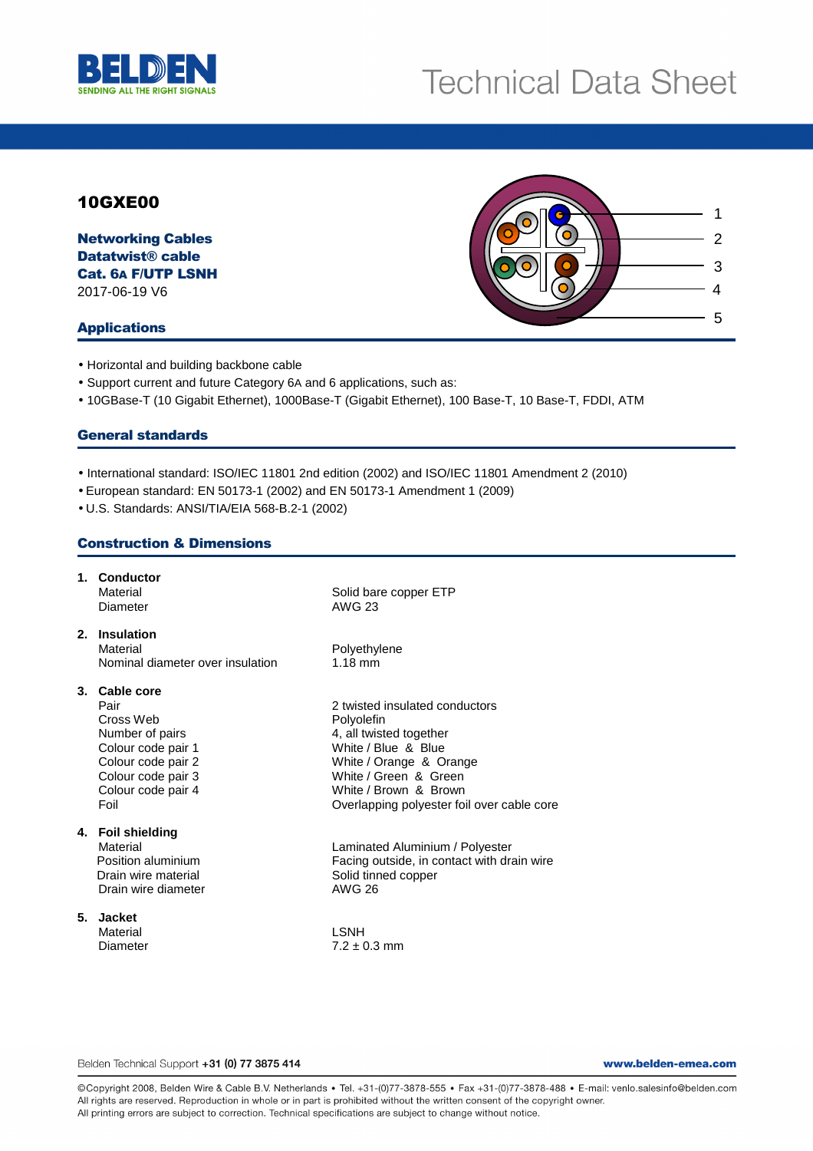

# 10GXE00

Networking Cables Datatwist® cable Cat. 6A F/UTP LSNH 2017-06-19 V6

#### Applications

3 2 4 5 1

- Horizontal and building backbone cable
- Support current and future Category 6A and 6 applications, such as:
- 10GBase-T (10 Gigabit Ethernet), 1000Base-T (Gigabit Ethernet), 100 Base-T, 10 Base-T, FDDI, ATM

#### General standards

- International standard: ISO/IEC 11801 2nd edition (2002) and ISO/IEC 11801 Amendment 2 (2010)
- European standard: EN 50173-1 (2002) and EN 50173-1 Amendment 1 (2009)
- U.S. Standards: ANSI/TIA/EIA 568-B.2-1 (2002)

## Construction & Dimensions

|    | 1. Conductor<br>Material<br>Diameter                                                                                                                  | Solid bare copper ETP<br><b>AWG 23</b>                                                                                                                                                                                    |
|----|-------------------------------------------------------------------------------------------------------------------------------------------------------|---------------------------------------------------------------------------------------------------------------------------------------------------------------------------------------------------------------------------|
|    | 2. Insulation<br>Material<br>Nominal diameter over insulation                                                                                         | Polyethylene<br>$1.18 \text{ mm}$                                                                                                                                                                                         |
|    | 3. Cable core<br>Pair<br>Cross Web<br>Number of pairs<br>Colour code pair 1<br>Colour code pair 2<br>Colour code pair 3<br>Colour code pair 4<br>Foil | 2 twisted insulated conductors<br>Polyolefin<br>4, all twisted together<br>White / Blue & Blue<br>White / Orange & Orange<br>White / Green & Green<br>White / Brown & Brown<br>Overlapping polyester foil over cable core |
|    | 4. Foil shielding<br>Material<br>Position aluminium<br>Drain wire material<br>Drain wire diameter                                                     | Laminated Aluminium / Polyester<br>Facing outside, in contact with drain wire<br>Solid tinned copper<br><b>AWG 26</b>                                                                                                     |
| 5. | <b>Jacket</b><br>Material<br>Diameter                                                                                                                 | <b>LSNH</b><br>$7.2 \pm 0.3$ mm                                                                                                                                                                                           |

Belden Technical Support +31 (0) 77 3875 414

www.belden-emea.com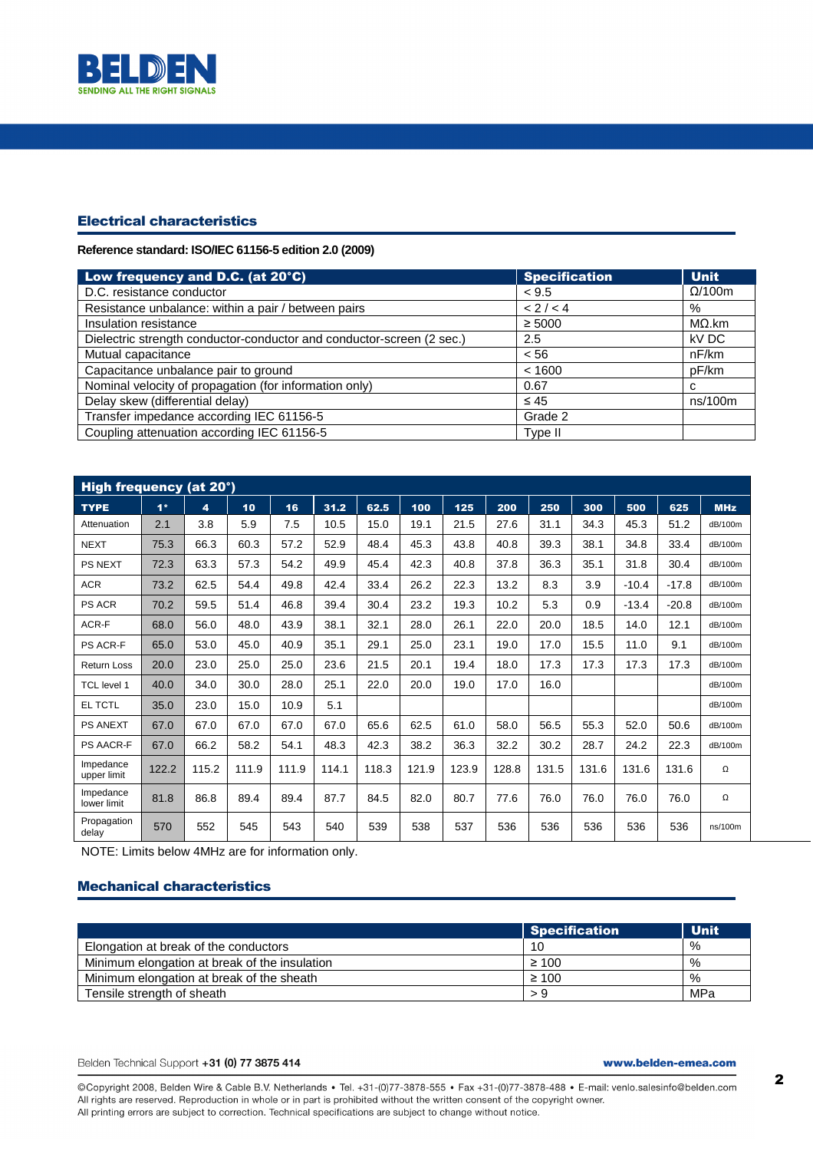

## Electrical characteristics

**Reference standard: ISO/IEC 61156-5 edition 2.0 (2009)** 

| Low frequency and D.C. (at 20°C)                                      | <b>Specification</b> | <b>Unit</b>    |
|-----------------------------------------------------------------------|----------------------|----------------|
| D.C. resistance conductor                                             | < 9.5                | $\Omega$ /100m |
| Resistance unbalance: within a pair / between pairs                   | < 2 / < 4            | %              |
| Insulation resistance                                                 | $\geq 5000$          | $M\Omega$ .km  |
| Dielectric strength conductor-conductor and conductor-screen (2 sec.) | 2.5                  | kV DC          |
| Mutual capacitance                                                    | < 56                 | nF/km          |
| Capacitance unbalance pair to ground                                  | < 1600               | pF/km          |
| Nominal velocity of propagation (for information only)                | 0.67                 | С              |
| Delay skew (differential delay)                                       | $\leq 45$            | ns/100m        |
| Transfer impedance according IEC 61156-5                              | Grade 2              |                |
| Coupling attenuation according IEC 61156-5                            | Type II              |                |

| High frequency (at 20°)  |       |       |       |       |       |       |       |       |       |       |       |         |         |            |
|--------------------------|-------|-------|-------|-------|-------|-------|-------|-------|-------|-------|-------|---------|---------|------------|
| <b>TYPE</b>              | $1*$  | 4     | 10    | 16    | 31.2  | 62.5  | 100   | 125   | 200   | 250   | 300   | 500     | 625     | <b>MHz</b> |
| Attenuation              | 2.1   | 3.8   | 5.9   | 7.5   | 10.5  | 15.0  | 19.1  | 21.5  | 27.6  | 31.1  | 34.3  | 45.3    | 51.2    | dB/100m    |
| <b>NEXT</b>              | 75.3  | 66.3  | 60.3  | 57.2  | 52.9  | 48.4  | 45.3  | 43.8  | 40.8  | 39.3  | 38.1  | 34.8    | 33.4    | dB/100m    |
| <b>PS NEXT</b>           | 72.3  | 63.3  | 57.3  | 54.2  | 49.9  | 45.4  | 42.3  | 40.8  | 37.8  | 36.3  | 35.1  | 31.8    | 30.4    | dB/100m    |
| <b>ACR</b>               | 73.2  | 62.5  | 54.4  | 49.8  | 42.4  | 33.4  | 26.2  | 22.3  | 13.2  | 8.3   | 3.9   | $-10.4$ | $-17.8$ | dB/100m    |
| <b>PS ACR</b>            | 70.2  | 59.5  | 51.4  | 46.8  | 39.4  | 30.4  | 23.2  | 19.3  | 10.2  | 5.3   | 0.9   | $-13.4$ | $-20.8$ | dB/100m    |
| ACR-F                    | 68.0  | 56.0  | 48.0  | 43.9  | 38.1  | 32.1  | 28.0  | 26.1  | 22.0  | 20.0  | 18.5  | 14.0    | 12.1    | dB/100m    |
| <b>PS ACR-F</b>          | 65.0  | 53.0  | 45.0  | 40.9  | 35.1  | 29.1  | 25.0  | 23.1  | 19.0  | 17.0  | 15.5  | 11.0    | 9.1     | dB/100m    |
| <b>Return Loss</b>       | 20.0  | 23.0  | 25.0  | 25.0  | 23.6  | 21.5  | 20.1  | 19.4  | 18.0  | 17.3  | 17.3  | 17.3    | 17.3    | dB/100m    |
| <b>TCL</b> level 1       | 40.0  | 34.0  | 30.0  | 28.0  | 25.1  | 22.0  | 20.0  | 19.0  | 17.0  | 16.0  |       |         |         | dB/100m    |
| EL TCTL                  | 35.0  | 23.0  | 15.0  | 10.9  | 5.1   |       |       |       |       |       |       |         |         | dB/100m    |
| <b>PS ANEXT</b>          | 67.0  | 67.0  | 67.0  | 67.0  | 67.0  | 65.6  | 62.5  | 61.0  | 58.0  | 56.5  | 55.3  | 52.0    | 50.6    | dB/100m    |
| <b>PS AACR-F</b>         | 67.0  | 66.2  | 58.2  | 54.1  | 48.3  | 42.3  | 38.2  | 36.3  | 32.2  | 30.2  | 28.7  | 24.2    | 22.3    | dB/100m    |
| Impedance<br>upper limit | 122.2 | 115.2 | 111.9 | 111.9 | 114.1 | 118.3 | 121.9 | 123.9 | 128.8 | 131.5 | 131.6 | 131.6   | 131.6   | Ω          |
| Impedance<br>lower limit | 81.8  | 86.8  | 89.4  | 89.4  | 87.7  | 84.5  | 82.0  | 80.7  | 77.6  | 76.0  | 76.0  | 76.0    | 76.0    | Ω          |
| Propagation<br>delay     | 570   | 552   | 545   | 543   | 540   | 539   | 538   | 537   | 536   | 536   | 536   | 536     | 536     | ns/100m    |

NOTE: Limits below 4MHz are for information only.

## Mechanical characteristics

|                                               | Specification | <b>Unit</b> |
|-----------------------------------------------|---------------|-------------|
| Elongation at break of the conductors         | 10            | %           |
| Minimum elongation at break of the insulation | $\geq 100$    | %           |
| Minimum elongation at break of the sheath     | $\geq 100$    | %           |
| Tensile strength of sheath                    |               | MPa         |

Belden Technical Support +31 (0) 77 3875 414

www.belden-emea.com

@Copyright 2008, Belden Wire & Cable B.V. Netherlands · Tel. +31-(0)77-3878-555 · Fax +31-(0)77-3878-488 · E-mail: venlo.salesinfo@belden.com All rights are reserved. Reproduction in whole or in part is prohibited without the written consent of the copyright owner. All printing errors are subject to correction. Technical specifications are subject to change without notice.